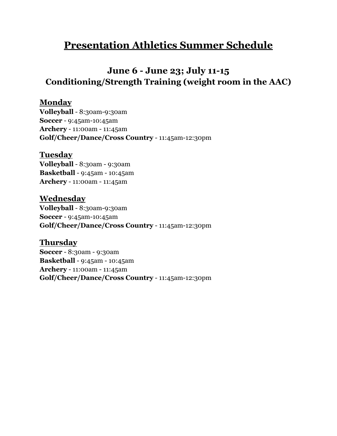# **Presentation Athletics Summer Schedule**

# **June 6 - June 23; July 11-15 Conditioning/Strength Training (weight room in the AAC)**

## **Monday**

**Volleyball** - 8:30am-9:30am **Soccer** - 9:45am-10:45am **Archery** - 11:00am - 11:45am **Golf/Cheer/Dance/Cross Country** - 11:45am-12:30pm

### **Tuesday**

**Volleyball** - 8:30am - 9:30am **Basketball** - 9:45am - 10:45am **Archery** - 11:00am - 11:45am

**Wednesday Volleyball** - 8:30am-9:30am **Soccer** - 9:45am-10:45am **Golf/Cheer/Dance/Cross Country** - 11:45am-12:30pm

**Thursday Soccer** - 8:30am - 9:30am **Basketball** - 9:45am - 10:45am **Archery** - 11:00am - 11:45am **Golf/Cheer/Dance/Cross Country** - 11:45am-12:30pm